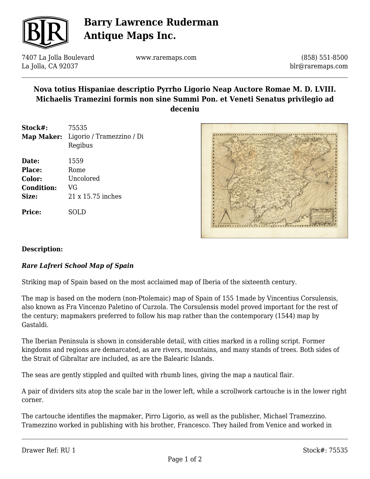

# **Barry Lawrence Ruderman Antique Maps Inc.**

7407 La Jolla Boulevard La Jolla, CA 92037

www.raremaps.com

(858) 551-8500 blr@raremaps.com

### **Nova totius Hispaniae descriptio Pyrrho Ligorio Neap Auctore Romae M. D. LVIII. Michaelis Tramezini formis non sine Summi Pon. et Veneti Senatus privilegio ad deceniu**

| Stock#:<br>Map Maker:                                   | 75535<br>Ligorio / Tramezzino / Di<br>Regibus        |
|---------------------------------------------------------|------------------------------------------------------|
| Date:<br>Place:<br>Color:<br><b>Condition:</b><br>Size: | 1559<br>Rome<br>Uncolored<br>VG<br>21 x 15.75 inches |
| Price:                                                  | SOLD                                                 |



### **Description:**

### *Rare Lafreri School Map of Spain*

Striking map of Spain based on the most acclaimed map of Iberia of the sixteenth century.

The map is based on the modern (non-Ptolemaic) map of Spain of 155 1made by Vincentius Corsulensis, also known as Fra Vincenzo Paletino of Curzola. The Corsulensis model proved important for the rest of the century; mapmakers preferred to follow his map rather than the contemporary (1544) map by Gastaldi.

The Iberian Peninsula is shown in considerable detail, with cities marked in a rolling script. Former kingdoms and regions are demarcated, as are rivers, mountains, and many stands of trees. Both sides of the Strait of Gibraltar are included, as are the Balearic Islands.

The seas are gently stippled and quilted with rhumb lines, giving the map a nautical flair.

A pair of dividers sits atop the scale bar in the lower left, while a scrollwork cartouche is in the lower right corner.

The cartouche identifies the mapmaker, Pirro Ligorio, as well as the publisher, Michael Tramezzino. Tramezzino worked in publishing with his brother, Francesco. They hailed from Venice and worked in